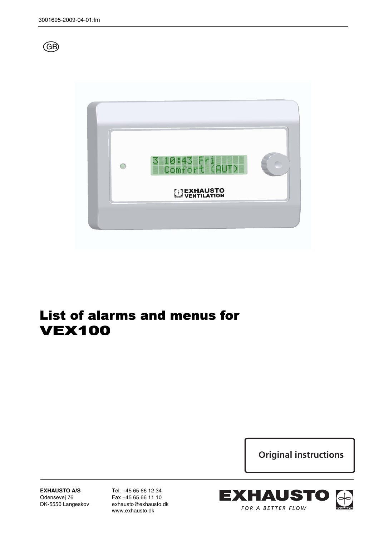



# List of alarms and menus for VEX100

**Original instructions**

**EXHAUSTO A/S** Odensevej 76 DK-5550 Langeskov Tel. +45 65 66 12 34 Fax +45 65 66 11 10 exhausto@exhausto.dk www.exhausto.dk

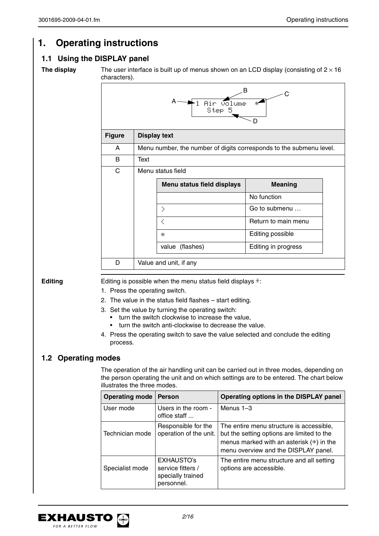# **1. Operating instructions**

# **1.1 Using the DISPLAY panel**

**The display** The user interface is built up of menus shown on an LCD display (consisting of  $2 \times 16$ ) characters).

|               |      | Air volume<br>Step 5                                                                                                                                                                                                                                                                                                                                                                                                         | B<br>C<br>×.<br>D   |
|---------------|------|------------------------------------------------------------------------------------------------------------------------------------------------------------------------------------------------------------------------------------------------------------------------------------------------------------------------------------------------------------------------------------------------------------------------------|---------------------|
| <b>Figure</b> |      | <b>Display text</b>                                                                                                                                                                                                                                                                                                                                                                                                          |                     |
| A             |      | Menu number, the number of digits corresponds to the submenu level.                                                                                                                                                                                                                                                                                                                                                          |                     |
| B             | Text |                                                                                                                                                                                                                                                                                                                                                                                                                              |                     |
| $\mathsf{C}$  |      | Menu status field                                                                                                                                                                                                                                                                                                                                                                                                            |                     |
|               |      | <b>Menu status field displays</b>                                                                                                                                                                                                                                                                                                                                                                                            | <b>Meaning</b>      |
|               |      |                                                                                                                                                                                                                                                                                                                                                                                                                              | No function         |
|               |      | $\geq$                                                                                                                                                                                                                                                                                                                                                                                                                       | Go to submenu       |
|               |      | ₹                                                                                                                                                                                                                                                                                                                                                                                                                            | Return to main menu |
|               |      | ж.                                                                                                                                                                                                                                                                                                                                                                                                                           | Editing possible    |
|               |      | value (flashes)                                                                                                                                                                                                                                                                                                                                                                                                              | Editing in progress |
| D             |      | Value and unit, if any                                                                                                                                                                                                                                                                                                                                                                                                       |                     |
|               |      | Editing is possible when the menu status field displays $\ddot{\pi}$ :<br>1. Press the operating switch.<br>2. The value in the status field flashes - start editing.<br>3. Set the value by turning the operating switch:<br>turn the switch clockwise to increase the value.<br>turn the switch anti-clockwise to decrease the value.<br>4. Press the operating switch to save the value selected and conclude the editing |                     |

The operation of the air handling unit can be carried out in three modes, depending on the person operating the unit and on which settings are to be entered. The chart below illustrates the three modes.

| <b>Operating mode</b> | <b>Person</b>                                                             | Operating options in the DISPLAY panel                                                                                                                                       |
|-----------------------|---------------------------------------------------------------------------|------------------------------------------------------------------------------------------------------------------------------------------------------------------------------|
| User mode             | Users in the room -<br>office staff                                       | Menus $1-3$                                                                                                                                                                  |
| Technician mode       | Responsible for the<br>operation of the unit.                             | The entire menu structure is accessible,<br>but the setting options are limited to the<br>menus marked with an asterisk $(*)$ in the<br>menu overview and the DISPLAY panel. |
| Specialist mode       | <b>EXHAUSTO's</b><br>service fitters /<br>specially trained<br>personnel. | The entire menu structure and all setting<br>options are accessible.                                                                                                         |

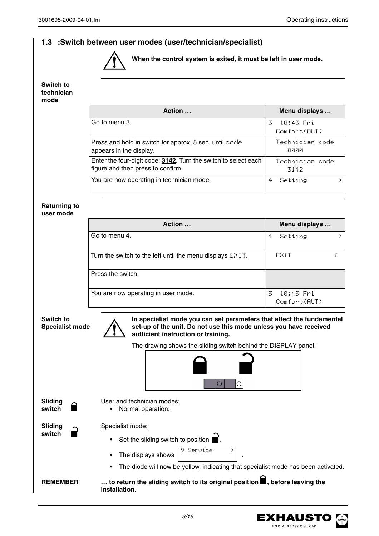## **1.3 :Switch between user modes (user/technician/specialist)**



**When the control system is exited, it must be left in user mode.**

**Switch to technician mode**

**switch** 

|                                            | Action                                                                                                                                                                            | Menu displays                   |
|--------------------------------------------|-----------------------------------------------------------------------------------------------------------------------------------------------------------------------------------|---------------------------------|
|                                            | Go to menu 3.                                                                                                                                                                     | 3<br>10:43 Fri<br>Comfort(AUT)  |
|                                            | Press and hold in switch for approx. 5 sec. until code<br>appears in the display.                                                                                                 | Technician code<br>0000         |
|                                            | Enter the four-digit code: 3142. Turn the switch to select each<br>figure and then press to confirm.                                                                              | Technician code<br>3142         |
|                                            | You are now operating in technician mode.                                                                                                                                         | X.<br>4.<br>Setting             |
| <b>Returning to</b><br>user mode           |                                                                                                                                                                                   |                                 |
|                                            | Action                                                                                                                                                                            | Menu displays                   |
|                                            | Go to menu 4.                                                                                                                                                                     | 4.<br>Setting<br>÷.             |
|                                            | Turn the switch to the left until the menu displays EXIT.                                                                                                                         | EXIT<br>₹                       |
|                                            | Press the switch.                                                                                                                                                                 |                                 |
|                                            | You are now operating in user mode.                                                                                                                                               | 10:43 Fri<br>3.<br>Comfort(AUT) |
| <b>Switch to</b><br><b>Specialist mode</b> | In specialist mode you can set parameters that affect the fundamental<br>set-up of the unit. Do not use this mode unless you have received<br>sufficient instruction or training. |                                 |
|                                            | The drawing shows the sliding switch behind the DISPLAY panel:                                                                                                                    |                                 |
|                                            | O<br>О                                                                                                                                                                            |                                 |
| Sliding                                    | User and technician modes:                                                                                                                                                        |                                 |
| switch                                     | Normal operation.                                                                                                                                                                 |                                 |
| Slidina                                    | Specialist mode:                                                                                                                                                                  |                                 |

• Set the sliding switch to position  $\blacksquare$ .

- The displays shows  $\Big|\begin{array}{ccc} 9 & \text{Service} & \to \end{array}$ 9 Service >
- The diode will now be yellow, indicating that specialist mode has been activated.

REMEMBER ... to return the sliding switch to its original position  $\blacksquare$ , before leaving the **installation.**

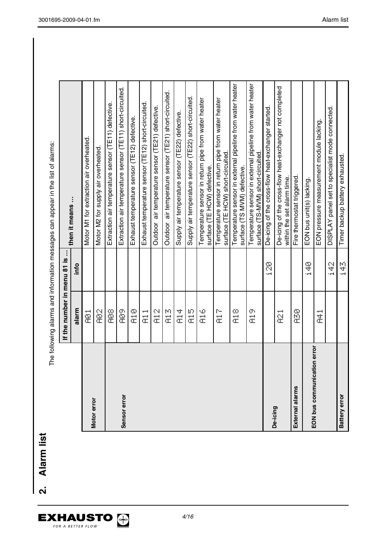EXHAUSTO

The following alarms and information messages can appear in the list of alarms: The following alarms and information messages can appear in the list of alarms:

|                             | If the number in menu 81 is |               | then it means                                                                                  |
|-----------------------------|-----------------------------|---------------|------------------------------------------------------------------------------------------------|
|                             | alarm                       | info          |                                                                                                |
|                             | ē                           |               | Motor M1 for extraction air overheated.                                                        |
| Motor error                 | <b>S</b>                    |               | Motor M2 for supply air overheated.                                                            |
|                             | 8g                          |               | Extraction air temperature sensor (TE11) defective.                                            |
| Sensor error                | eg<br>S                     |               | Extraction air temperature sensor (TE11) short-circuited.                                      |
|                             | er<br>Si                    |               | Exhaust temperature sensor (TE12) defective.                                                   |
|                             | --<br>Ë                     |               | Exhaust temperature sensor (TE12) short-circuited.                                             |
|                             | C)<br>$\vec{x}$             |               | air temperature sensor (TE21) defective.<br>Outdoor                                            |
|                             | 凹こ                          |               | air temperature sensor (TE21) short-circuited.<br>Outdoor                                      |
|                             | тþ<br>$\vec{a}$             |               | Supply air temperature sensor (TE22) defective.                                                |
|                             | Ю<br>$\bar{\vec{c}}$        |               | Supply air temperature sensor (TE22) short-circuited.                                          |
|                             | 90<br>ā                     |               | Temperature sensor in return pipe from water heater<br>surface (TE HCW) defective.             |
|                             | r–<br>÷<br>Œ                |               | Temperature sensor in return pipe from water heater<br>surface (TE HCW) short-circuited        |
|                             | œ<br>ā                      |               | Temperature sensor in external pipeline from water heater<br>surface (TS MVM) defective.       |
|                             | σ.<br>$\vec{\epsilon}$      |               | Temperature sensor in external pipeline from water heater<br>surface (TS-MVM) short-circuited. |
|                             |                             | S)            | De-icing of the cross-flow heat-exchanger started.                                             |
| De-icing                    | $\overline{2}$              |               | De-icing of the cross-flow heat-exchanger not completed<br>within the set alarm time.          |
| External alarms             | SO<br>SO                    |               | Fire thermostat triggered.                                                                     |
| <b>EON bus communicatio</b> |                             | $\frac{2}{4}$ | EON bus unit(s) lacking.                                                                       |
| in error                    | $\vec{x}$                   |               | EON pressure measurement module lacking.                                                       |
|                             |                             | ă             | DISPLAY panel set to specialist mode connected.                                                |
| <b>Battery error</b>        |                             | ro<br>Tr      | Timer backup battery exhausted.                                                                |

3001695-2009-04-01.fm Alarm list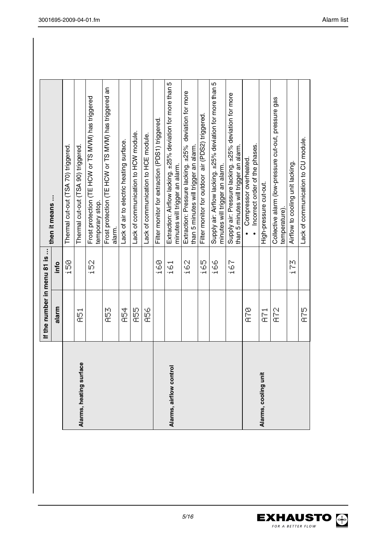|                         | If the number in menu 81 is |                   | then it means                                                                                  |
|-------------------------|-----------------------------|-------------------|------------------------------------------------------------------------------------------------|
|                         | alarm                       | info              |                                                                                                |
|                         |                             | 69<br>11          | Thermal cut-out (TSA 70) triggered.                                                            |
| Alarms, heating surface | ---<br>옾                    |                   | Thermal cut-out (TSA 90) triggered                                                             |
|                         |                             | 8<br>$-$          | Frost protection (TE HCW or TS MVM) has triggered<br>temporary stop.                           |
|                         | io<br>C                     |                   | Frost protection (TE HCW or TS MVM) has triggered an<br>alarm.                                 |
|                         | 亞                           |                   | Lack of air to electric heating surface.                                                       |
|                         | 100<br>00                   |                   | ack of communication to HCW module.                                                            |
|                         | se<br>C                     |                   | Lack of communication to HCE module.                                                           |
|                         |                             | ွှ<br>إسرا        | Filter monitor for extraction (PDS1) triggered.                                                |
| Alarms, airflow control |                             | --<br>φ,<br>وسواء | Extraction: Airflow lacking. ±25% deviation for more than 5<br>minutes will trigger an alarm.  |
|                         |                             | ូ<br>$-1$         | Extraction: Pressure lacking. ±25% deviation for more<br>than 5 minutes will trigger an alarm. |
|                         |                             | Ю.<br>- 74        | Filter monitor for outdoor air (PDS2) triggered.                                               |
|                         |                             | \$                | Supply air: Airflow lacking. ±25% deviation for more than 5<br>minutes will trigger an alarm.  |
|                         |                             | ြ<br>$\ddotsc$    | Supply air: Pressure lacking. ±25% deviation for more<br>than 5 minutes will trigger an alarm. |
|                         | ing<br>G                    |                   | Incorrect order of the phases.<br>Compressor overheated.                                       |
| Alarms, cooling unit    | --<br>È                     |                   | High-pressure cut-out.                                                                         |
|                         | 20 pm                       |                   | Collective alarm (low-pressure cut-out, pressure gas<br>temperature)                           |
|                         |                             | р<br>t pod        | Airflow to cooling unit lacking.                                                               |
|                         | 10<br>G                     |                   | Lack of communication to CU module.                                                            |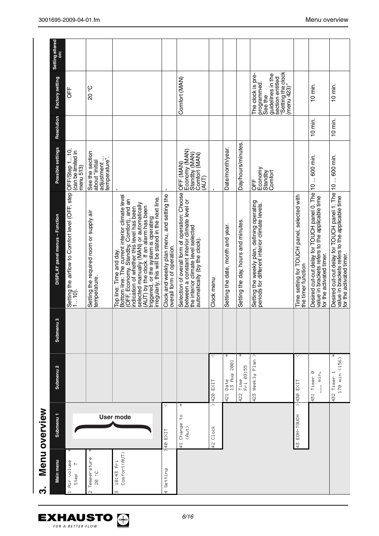| ကံ                        | Menu overview                |                                 |           |                                                                                                                                                                                                                                                                                                                                                            |                                                                       |            |                                                                                                                           |                             |
|---------------------------|------------------------------|---------------------------------|-----------|------------------------------------------------------------------------------------------------------------------------------------------------------------------------------------------------------------------------------------------------------------------------------------------------------------------------------------------------------------|-----------------------------------------------------------------------|------------|---------------------------------------------------------------------------------------------------------------------------|-----------------------------|
| Main menu                 | Submenu <sub>1</sub>         | Submenu <sub>2</sub>            | Submenu 3 | DISPLAY panel menus - Function                                                                                                                                                                                                                                                                                                                             | Possible settings                                                     | Resolution | Factory setting                                                                                                           | <b>Setting altered</b><br>ä |
| Air volume<br>Step        |                              |                                 |           | Setting the airflow to Comfort level (OFF, step OFF/Step 1…10,<br>1…10).                                                                                                                                                                                                                                                                                   | (can be limited in<br>menu 513)                                       |            | J≠                                                                                                                        |                             |
| Temperature<br>$28 - 62$  |                              |                                 |           | Setting the required room or supply air<br>temperature.                                                                                                                                                                                                                                                                                                    | See the section<br>adjustment<br>temperature".<br>about "initial      |            | <b>C</b> 0Z                                                                                                               |                             |
| Comfort(AUT)<br>10:43 Fri | <b>User mode</b>             |                                 |           | Bottom line: The current interior climate level<br>(OFF, Economy, Standby, Comfort), and an<br>indication of whether this level has been<br>(AUT) by the clock. If an alarm has been<br>triggered, or the system is operating<br>irregularly, this will be stated in the next line.<br>selected manually (MAN) or automatically<br>Top line: Time and day. |                                                                       |            |                                                                                                                           |                             |
| Setting<br>÷              | v<br>40 EXIT                 |                                 |           | Clock and weekly plan menu, and setting the<br>overall form of operation.                                                                                                                                                                                                                                                                                  |                                                                       |            |                                                                                                                           |                             |
|                           | ÷<br>Ş<br>41 Change<br>(Aut) |                                 |           | Selection of overall form of operation: Choose<br>between a constant interior climate level or<br>the interior climate level selected<br>automatically (by the clock).                                                                                                                                                                                     | Economy (MAN)<br>Standby (MAN)<br>Comfort (MAN)<br>(AUT)<br>OFF (MAN) |            | Comfort (MAN)                                                                                                             |                             |
|                           | Α<br>C1ock<br>ά,             | EXIT<br>420                     |           | Clock menu                                                                                                                                                                                                                                                                                                                                                 |                                                                       |            |                                                                                                                           |                             |
|                           |                              | 2001<br>Date<br>13 Aug<br>421   |           | Setting the date, month and year.                                                                                                                                                                                                                                                                                                                          | Date/month/year.                                                      |            |                                                                                                                           |                             |
|                           |                              | ÷<br>03:55<br>Time<br>Ĕ<br>422  |           | Setting the day, hours and minutes                                                                                                                                                                                                                                                                                                                         | Day/hours/minutes.                                                    |            |                                                                                                                           |                             |
|                           |                              | ∧<br>Weekly Plan<br>423         |           | Setting the weekly plan, defining operating<br>periods for different interior climate levels.                                                                                                                                                                                                                                                              | Economy<br>Standby<br>Comfort<br>UFF                                  |            | section entitled<br>"Setting the clock<br>(menu 423)"<br>The clock is pre-<br>guidelines in the<br>programmed.<br>See the |                             |
|                           | 43 EDN-TOUCH                 | >430 EXIT                       |           | Time setting for TOUCH panel, selected with<br>the timer function                                                                                                                                                                                                                                                                                          |                                                                       |            |                                                                                                                           |                             |
|                           |                              | 431 Timer 0<br>$=$ min.         |           | Desired cut-out delay for TOUCH panel 0. The<br>value in brackets refers to the applicable time<br>for the activated timer.                                                                                                                                                                                                                                | 10  600 min.                                                          | $10$ min.  | $10$ min.                                                                                                                 |                             |
|                           |                              | ∗<br>170 min (156)<br>432 Timer |           | Desired cut-out delay for TOUCH panel 1. The 10  600 min.<br>value in brackets refers to the applicable time<br>for the activated timer.                                                                                                                                                                                                                   |                                                                       | $10$ min.  | $10$ min.                                                                                                                 |                             |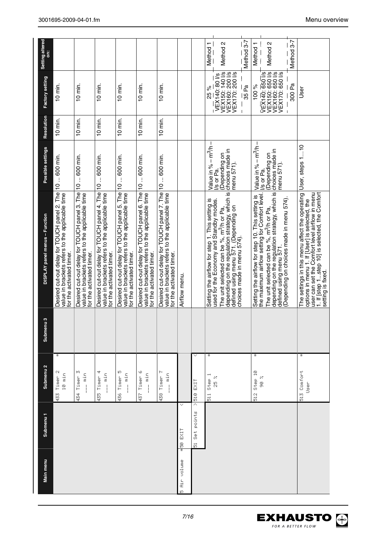| Main menu         | Submenu <sub>1</sub>    | Submenu <sub>2</sub>                                     | Submenu | DISPLAY panel menus - Function                                                                                                                                                                                           | Possible settings                                          | Resolution | Factory setting                                                          | Setting altered<br>ä |
|-------------------|-------------------------|----------------------------------------------------------|---------|--------------------------------------------------------------------------------------------------------------------------------------------------------------------------------------------------------------------------|------------------------------------------------------------|------------|--------------------------------------------------------------------------|----------------------|
|                   |                         | ¥<br>Timer <sub>2</sub><br>10 min<br>$433 -$             |         | Desired cut-out delay for TOUCH panel 2. The 10  600 min.<br>value in brackets refers to the applicable time<br>for the activated timer.                                                                                 |                                                            | 10 min.    | $10$ min.                                                                |                      |
|                   |                         | 434 Timer 3<br>$\begin{array}{c}\n\ldots \\ \end{array}$ |         | Desired cut-out delay for TOUCH panel 3. The<br>value in brackets refers to the applicable time<br>for the activated timer.                                                                                              | 10  600 min.                                               | $10$ min.  | $10$ min.                                                                |                      |
|                   |                         | $-$ min<br>435 Timer                                     |         | Desired cut-out delay for TOUCH panel 4. The<br>value in brackets refers to the applicable time<br>for the activated timer.                                                                                              | 10  600 min.                                               | 10 min.    | $10$ min.                                                                |                      |
|                   |                         | 436 Timer 5<br>$-$ min                                   |         | Desired cut-out delay for TOUCH panel 5. The<br>value in brackets refers to the applicable time<br>for the activated timer.                                                                                              | 10  600 min.                                               | $10$ min.  | $10$ min.                                                                |                      |
|                   |                         | 437 Timer 6<br>$-$ min                                   |         | Desired cut-out delay for TOUCH panel 6. The 10  600 min.<br>value in brackets refers to the applicable time<br>for the activated timer.                                                                                 |                                                            | $10$ min.  | $10$ min.                                                                |                      |
|                   |                         | 438 Timer 7<br>$-$ min                                   |         | Desired cut-out delay for TOUCH panel 7. The<br>value in brackets refers to the applicable time<br>for the activated timer.                                                                                              | 10  600 min.                                               | 10 min.    | $10$ min.                                                                |                      |
| Air volume<br>ID. | 450 EXIT                |                                                          |         | Airflow menu.                                                                                                                                                                                                            |                                                            |            |                                                                          |                      |
|                   | Set points<br>$\vec{p}$ | M<br>$> 510$ EXIT                                        |         |                                                                                                                                                                                                                          |                                                            |            |                                                                          |                      |
|                   |                         | ¥<br>Step 1<br>$\frac{1}{10}$                            |         | Setting the airflow for step 1. This setting is                                                                                                                                                                          | Value in % $-m^3/h$ –                                      |            | 25 %                                                                     | Method <sub>1</sub>  |
|                   |                         | $\frac{2}{2}$                                            |         | depending on the regulation strategy, which is<br>defined using menu 571. (Depending on<br>choices made in menu 574).<br>used for the Economy and Standby modes.<br>The unit selected can be %, m <sup>3</sup> /h or Pa, | choices made in<br>Depending on<br>menu 571).<br>Vs or Pa. |            | VEX150: 140 l/s<br>VEX160: 200 l/s<br>VEX170: 200 l/s<br>VEX140: 80 Vs   | Method <sub>2</sub>  |
|                   |                         |                                                          |         |                                                                                                                                                                                                                          |                                                            |            | 35 Pa                                                                    | Method 3-7           |
|                   |                         | ¥<br>512 Step 10                                         |         | the maximum airflow setting for Comfort level.<br>Setting the airflow for step 10. This setting is                                                                                                                       | Value in $% - m3/h -$                                      |            | 100 %                                                                    | Method 1             |
|                   |                         | ×<br>8                                                   |         | The unit selected can be $\frac{8}{6}$ , m <sup>3</sup> /h or Pa, $\frac{1}{10}$ (Depending on depending on the regulation strategy, which is choices made in<br>defined using menu 571.                                 | menu 571).<br>Vs or Pa.                                    |            | VEX140: 650 l/s<br>VEX150: 650 l/s<br>VEX160: 650 l/s<br>VEX170: 650 l/s | Method 2             |
|                   |                         |                                                          |         | (Depending on choices made in menu 574).                                                                                                                                                                                 |                                                            |            | 300 Pa                                                                   | Method 3-7           |
|                   |                         | ¥<br>513 Comfort<br>Jseh                                 |         | The settings in this menu affect the operating<br>1. If [step 1step 10] is selected, the Comfort<br>user can set the Comfort level airflow in menu<br>options in menu 1. If [User] is selected, the<br>setting is fixed. | User, steps 110                                            |            | User                                                                     |                      |



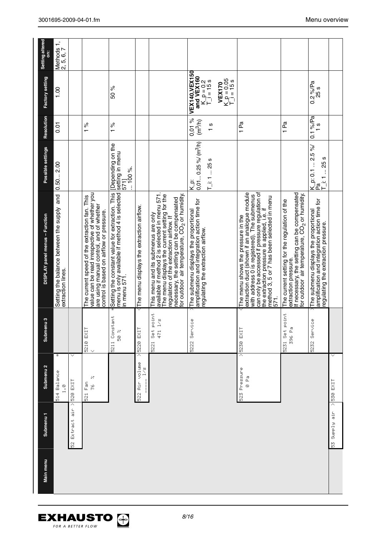| Setting altered                | Methods 1,<br>2, 5, 6, 7                                        |                        |                                                                                                                                                                                        |                                                                                                                   |                                           |                                                                                                                                                                                                                                                                                           |                                                                                                                             |                           |                                             |                                                                                                                                                                                                                                                                                          |                                                                                                                                                                                   |                                                                                                                               |              |
|--------------------------------|-----------------------------------------------------------------|------------------------|----------------------------------------------------------------------------------------------------------------------------------------------------------------------------------------|-------------------------------------------------------------------------------------------------------------------|-------------------------------------------|-------------------------------------------------------------------------------------------------------------------------------------------------------------------------------------------------------------------------------------------------------------------------------------------|-----------------------------------------------------------------------------------------------------------------------------|---------------------------|---------------------------------------------|------------------------------------------------------------------------------------------------------------------------------------------------------------------------------------------------------------------------------------------------------------------------------------------|-----------------------------------------------------------------------------------------------------------------------------------------------------------------------------------|-------------------------------------------------------------------------------------------------------------------------------|--------------|
| Factory setting                | 00.1                                                            |                        |                                                                                                                                                                                        | 50 %                                                                                                              |                                           |                                                                                                                                                                                                                                                                                           | <b>VEX140, VEX150</b><br>and VEX160                                                                                         | $K_p = 0.2$<br>T_j = 15 s | $K_p = 0.05$<br>T_i = 15 s<br><b>VEX170</b> |                                                                                                                                                                                                                                                                                          |                                                                                                                                                                                   | $0.2\%$ /Pa<br>25 s                                                                                                           |              |
| Resolution                     | $\overline{0}$                                                  |                        | $\frac{5}{6}$                                                                                                                                                                          | $\frac{5}{6}$                                                                                                     |                                           |                                                                                                                                                                                                                                                                                           | 0,01%<br>(m <sup>3</sup> /h)                                                                                                | ပ                         |                                             | 1 Pa                                                                                                                                                                                                                                                                                     | 1 Pa                                                                                                                                                                              | $0.1\%$ /Pa<br>$\frac{8}{1}$                                                                                                  |              |
| Possible settings              | 0.502.00                                                        |                        |                                                                                                                                                                                        | [Depending on the<br>setting in menu<br>$\therefore$ 100 %.<br>571                                                |                                           |                                                                                                                                                                                                                                                                                           | $0,01$ 0.25 % (m <sup>3</sup> /h)<br>is<br>K                                                                                | $T_i$ : 1  25 s           |                                             |                                                                                                                                                                                                                                                                                          |                                                                                                                                                                                   | K_p: 0.1  2.5 %/<br> Pa<br>[i:125s]                                                                                           |              |
| DISPLAY panel menus - Function | Setting the balance between the supply and<br>extraction lines. |                        | value can be read irrespective of whether you<br>The current speed of the extraction fan. This<br>are using manual control, and of whether<br>control is based on airflow or pressure. | menu is only available if method 4 is selected<br>in menu 571.<br>Setting the constant value for extraction. This | The menu displays the extraction airflow. | available if method 2 is selected in menu 571.<br>The menu displays the current setting for the<br>regulation of the extraction airflow. If<br>icourdoor air temperature, CO <sub>2</sub> or humidity<br>necessary, the setting can be compensated<br>This menu and its submenus are only | The submenu displays the proportional<br>amplification and integration action time for<br>egulating the extraction airflow. |                           |                                             | can only be accessed if pressure regulation of<br>extraction duct (shown if an analogue module<br>with address 0 is registered). The submenus<br>method 3, 5 or 7 has been selected in menu<br>the extraction pressure is applied, i.e. if<br>The menu shows the pressure in the<br>571. | If necessary, the setting can be compensated<br>for outdoor air temperature, CO <sub>2</sub> or humidity<br>The current setting for the regulation of the<br>extraction pressure. | amplification and integration action time for<br>The submenu displays the proportional<br>regulating the extraction pressure. |              |
| c<br>Submenu                   |                                                                 |                        | 5210 EXIT                                                                                                                                                                              | 5211 Constant<br>28<br>20                                                                                         | EXIT<br>5228                              | Set point<br>471 1/s<br>$\frac{2}{2}$                                                                                                                                                                                                                                                     | 5222 Service                                                                                                                |                           |                                             | $> 5230$ EXIT                                                                                                                                                                                                                                                                            | 5231 Set point<br>396 Pa                                                                                                                                                          | Service<br>5232                                                                                                               |              |
| Submenu <sub>2</sub>           | ¥<br>514 Balance<br>$\frac{\odot}{4}$                           | v<br>$>$ 520 EXIT      | ×<br>$\frac{\delta}{\epsilon}$<br>ř<br>$\tilde{8}$                                                                                                                                     |                                                                                                                   | Ä<br>522 Air volume<br>$\frac{8}{2}$      |                                                                                                                                                                                                                                                                                           |                                                                                                                             |                           |                                             | 523 Pressure<br>$\frac{1}{\omega}$                                                                                                                                                                                                                                                       |                                                                                                                                                                                   |                                                                                                                               | $>$ 530 EXIT |
| Submenu <sub>1</sub>           |                                                                 | air<br>a<br>52 Extract |                                                                                                                                                                                        |                                                                                                                   |                                           |                                                                                                                                                                                                                                                                                           |                                                                                                                             |                           |                                             |                                                                                                                                                                                                                                                                                          |                                                                                                                                                                                   |                                                                                                                               | S3 Supple 55 |
| Main menu                      |                                                                 |                        |                                                                                                                                                                                        |                                                                                                                   |                                           |                                                                                                                                                                                                                                                                                           |                                                                                                                             |                           |                                             |                                                                                                                                                                                                                                                                                          |                                                                                                                                                                                   |                                                                                                                               |              |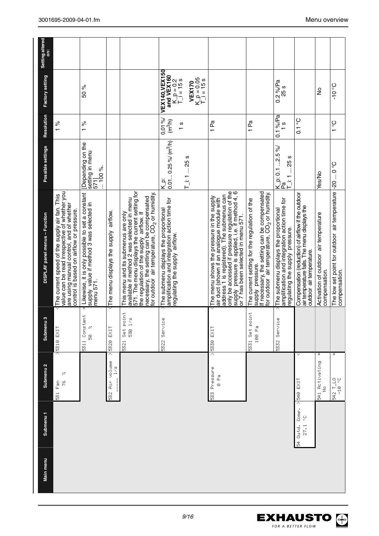| Submenu <sub>1</sub><br>Main menu | Submenu <sub>2</sub>                    | c<br>Submenu                       | DISPLAY panel menus - Function                                                                                                                                                                                                                                                           | Possible settings                                                      | Resolution                   | Factory setting                                                            | <b>Setting altered</b><br>ä |
|-----------------------------------|-----------------------------------------|------------------------------------|------------------------------------------------------------------------------------------------------------------------------------------------------------------------------------------------------------------------------------------------------------------------------------------|------------------------------------------------------------------------|------------------------------|----------------------------------------------------------------------------|-----------------------------|
|                                   | ×<br>م<br>ح<br>531 Fan                  | >5310 EXIT                         | value can be read irrespective of whether you<br>The current speed of the supply air fan. This<br>are using manual control, and of whether<br>control is based on airflow or pressure.                                                                                                   |                                                                        | $\frac{5}{6}$                |                                                                            |                             |
|                                   |                                         | 5311 Constant<br>Ņ<br>S)           | Likewise, it is only possible to set a constant<br>supply value if method 3 was selected in<br>menu 571.                                                                                                                                                                                 | [Depending on the<br>setting in menu<br>571]<br>$\therefore$ 100 %.    | $\frac{96}{6}$               | 50 %                                                                       |                             |
|                                   | ⊼<br>532 Air volume<br>$\sum_{i=1}^{n}$ | 5320 EXIT                          | The menu displays the supply airflow.                                                                                                                                                                                                                                                    |                                                                        |                              |                                                                            |                             |
|                                   |                                         | point<br>530 1/5<br>÷<br>೫<br>5321 | 571. The menu displays the current setting for<br>necessary, the setting can be compensated<br>for outdoor air temperature, CO <sub>2</sub> or humidity<br>This menu and its submenus are only<br>available if method 2 was selected in menu<br>the regulation of the supply airflow. If |                                                                        |                              |                                                                            |                             |
|                                   |                                         | Φ<br>Servic<br>5322                | amplification and integration action time for<br>regulating the supply_airflow.<br>The submenu displays the proportional                                                                                                                                                                 | $0.01$ 0.25 % (m <sup>3</sup> /h)<br>$K_{\overline{q}}$                | 0,01%<br>(m <sup>3</sup> m)  | <b>VEX140, VEX150</b><br>and VEX160                                        |                             |
|                                   |                                         |                                    |                                                                                                                                                                                                                                                                                          | $T_i$ : 1 25 s                                                         | $\frac{8}{1}$                | $K_p = 0.05$<br>$T_i = 15 s$<br>$K_p = 0.2$<br>T_i = 15 s<br><b>VEX170</b> |                             |
|                                   | Δ<br>533 Pressure<br>e<br>0             | 5330 EXIT                          | only be accessed if pressure regulation of the<br>supply pressure is applied, i.e. if method 4, 6<br>or 7 has been selected in menu 571.<br>address 1 is registered). The submenus can<br>The menu shows the pressure in the supply<br>air duct (shown if an analogue module with        |                                                                        | 1 Pa                         |                                                                            |                             |
|                                   |                                         | 5331 Set point<br>100 Pa           | supply pressure.<br>If necessary, the setting can be compensated<br>for outdoor air temperature, CO <sub>2</sub> or humidity.<br>The current setting for the regulation of the                                                                                                           |                                                                        | 1 Pa                         |                                                                            |                             |
|                                   |                                         | Φ<br>5332 Servic                   | amplification and integration action time for<br>The submenu displays the proportional<br>regulating the supply pressure.                                                                                                                                                                | $\frac{ K_p }{ P_a }$ p: 0.1 2.5 %/<br>$-25$ s<br>$\frac{1}{\sqrt{2}}$ | $0.1\%$ /Pa<br>$\frac{8}{1}$ | $0.2\%$ /Pa<br>25 s                                                        |                             |
| Comp.<br>့<br>54 Outd.<br>27.1    | v<br>EXIT<br>> 540                      |                                    | Compensation (reduction) of airflow if the outdoor<br>air temperature falls. The menu displays the<br>outdoor air temperature.                                                                                                                                                           |                                                                        | $0.1\degree C$               |                                                                            |                             |
|                                   | ∗<br>541 Activating<br>No               |                                    | Activation of outdoor air temperature<br>compensation.                                                                                                                                                                                                                                   | Yes/No                                                                 |                              | $\frac{1}{2}$                                                              |                             |
|                                   | ÷<br>3. 0T-10<br>0T-1 2t9               |                                    | The low set point for outdoor air temperature -20  0 °C<br>compensation.                                                                                                                                                                                                                 |                                                                        | $3^{\circ}$ 1                | $Oo$ 0 -                                                                   |                             |

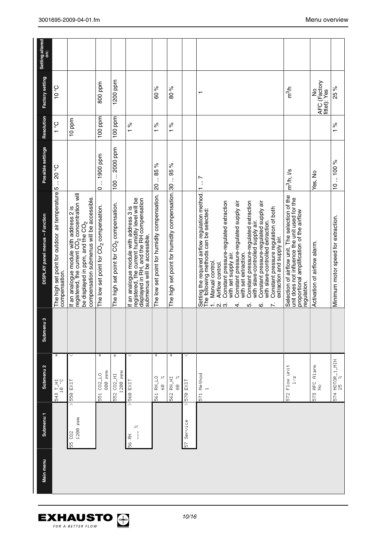| Main menu | Submenu <sub>1</sub>                    | Submenu <sub>2</sub>                     | w<br>Submenu | DISPLAY panel menus - Function                                                                                                                                                                                                                                                                                                                                                                                                                                                                                                                      | Possible settings    | Resolution           | Factory setting                               | Setting altered<br>ä |
|-----------|-----------------------------------------|------------------------------------------|--------------|-----------------------------------------------------------------------------------------------------------------------------------------------------------------------------------------------------------------------------------------------------------------------------------------------------------------------------------------------------------------------------------------------------------------------------------------------------------------------------------------------------------------------------------------------------|----------------------|----------------------|-----------------------------------------------|----------------------|
|           |                                         | $\ddot{}$<br>543 T_HI<br>10 °C           |              | The high set point for outdoor air temperature 5<br>compensation.                                                                                                                                                                                                                                                                                                                                                                                                                                                                                   | $-20^{\circ}$ OS $-$ | $rac{1}{\sqrt{2}}$   | $3^{\circ}$ 0 t                               |                      |
|           | ᄎ<br>1200 ppm<br>55 002                 | 550 EXIT                                 |              | registered, the current CO <sub>2</sub> concentration will<br>be displayed in ppm, and the $\mathbb{CO}_{2}$<br>compensation submenus will be accessible.<br>If an analogue module with address 2 is                                                                                                                                                                                                                                                                                                                                                |                      | 10 ppm               |                                               |                      |
|           |                                         | ∗<br>800 ppm<br>$002 - 10$<br>$\vec{5}$  |              | The low set point for CO <sub>2</sub> compensation.                                                                                                                                                                                                                                                                                                                                                                                                                                                                                                 | 0  1900 ppm          | 100 ppm              | 800 ppm                                       |                      |
|           |                                         | ÷<br>1200 ppm<br>552 CO2_HI              |              | The high set point for CO <sub>2</sub> compensation.                                                                                                                                                                                                                                                                                                                                                                                                                                                                                                | 100  2000 ppm        | 100 ppm              | 1200 ppm                                      |                      |
|           | 85<br>56 RH<br>$\overline{\phantom{a}}$ | $> 560$ EXIT                             |              | registered, the current humidity level will be<br>displayed in RH, and the RH compensation<br>If an analogue module with address 3 is<br>submenus will be accessible.                                                                                                                                                                                                                                                                                                                                                                               |                      | $\frac{96}{6}$       |                                               |                      |
|           |                                         | ÷<br>으<br>보<br>N<br>e<br>S<br><u>รี</u>  |              | The low set point for humidity compensation.                                                                                                                                                                                                                                                                                                                                                                                                                                                                                                        | 20  85 %             | ಸಿ<br>$\overline{ }$ | 60 %                                          |                      |
|           |                                         | ÷<br>RH_HI<br>8<br><u>្ល</u>             |              | The high set point for humidity compensation. 30                                                                                                                                                                                                                                                                                                                                                                                                                                                                                                    | 95 %<br>$\vdots$     | ಸಿ<br>$\overline{ }$ | 80 %                                          |                      |
|           | Α<br>Service<br>$\frac{1}{5}$           | <b>STO EXIT</b>                          |              |                                                                                                                                                                                                                                                                                                                                                                                                                                                                                                                                                     |                      |                      |                                               |                      |
|           |                                         | 571 Method<br>$\rightarrow$              |              | Setting the required airflow regulation method. 1  7<br>Constant pressure-regulated extraction<br>Constant pressure-regulated extraction<br>Constant pressure-regulated supply air<br>Constant pressure-regulated supply air<br>Constant pressure regulation of both<br>The following methods can be selected:<br>with slave-controlled extraction.<br>with slave-controlled supply air.<br>extraction and supply air.<br>with set supply air.<br>with set extraction.<br>Manual control.<br>Airflow control.<br>$\div$<br>പ്പ് ന്<br>ம்<br>4.<br>ဖ |                      |                      | $\overline{\phantom{0}}$                      |                      |
|           |                                         | 572 Flow unit<br>1/5                     |              | Selection of airflow unit. The selection of the<br>unit does not influence the unit used for the<br>proportional amplification of the airflow<br>regulation.                                                                                                                                                                                                                                                                                                                                                                                        | $m3/h,$ $1/s$        |                      | n <sup>3</sup> /h                             |                      |
|           |                                         | AFC Alarm<br>$\frac{9}{2}$<br>าคู่<br>โด |              | Activation of airflow alarm.                                                                                                                                                                                                                                                                                                                                                                                                                                                                                                                        | Yes, No              |                      | AFC (Factory<br>fittet): Yes<br>$\frac{1}{2}$ |                      |
|           |                                         | 574 MOTOR_1_MIN<br>25 %                  |              | Minimum motor speed for extraction.                                                                                                                                                                                                                                                                                                                                                                                                                                                                                                                 | 10100%               | 1%                   | 25 %                                          |                      |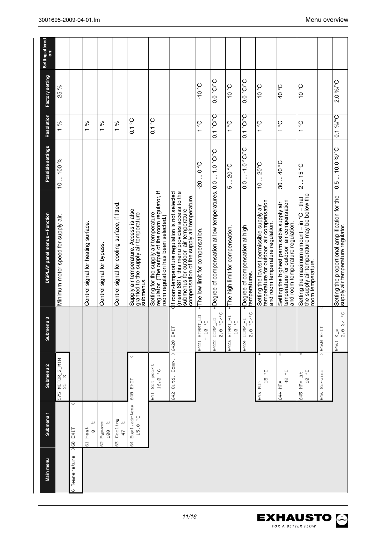| Submenu <sub>1</sub><br>Main menu    | Submenu <sub>2</sub>                          | Submenu <sub>3</sub>                                                           | DISPLAY panel menus - Function                                                                                                                                                        | Possible settings          | Resolution                  | Factory setting         | <b>Setting altered</b><br>$\ddot{\tilde{\mathsf{s}}}$ |
|--------------------------------------|-----------------------------------------------|--------------------------------------------------------------------------------|---------------------------------------------------------------------------------------------------------------------------------------------------------------------------------------|----------------------------|-----------------------------|-------------------------|-------------------------------------------------------|
|                                      | 575 MOTOR_2_MIN                               |                                                                                | Minimum motor speed for supply air.                                                                                                                                                   | 10100%                     | $\frac{5}{6}$               | 25 %                    |                                                       |
| <b>SPO EXIT</b><br>Temperature<br>Ø. | $\checkmark$                                  |                                                                                |                                                                                                                                                                                       |                            |                             |                         |                                                       |
| ×<br>61 Heat<br>$\odot$              |                                               |                                                                                | Control signal for heating surface.                                                                                                                                                   |                            | ಸಿ<br>$\overline{ }$        |                         |                                                       |
| Ņ<br>Beape<br>100<br>Š,              |                                               |                                                                                | Control signal for bypass.                                                                                                                                                            |                            | ್ನೆ<br>$\overline{ }$       |                         |                                                       |
| Cooling<br>$\mathcal{S}$<br>4<br>ð,  |                                               |                                                                                | Control signal for cooling surface, if fitted.                                                                                                                                        |                            | ಸಿ<br>$\overline{ }$        |                         |                                                       |
| 64 Supl.airtemp<br>$15.0\degree C$   | v<br>640 EXIT                                 |                                                                                | Supply air temperature. Access is also<br>granted to the supply air temperature<br>submenus.                                                                                          |                            | $0.1\degree$                |                         |                                                       |
|                                      | Set point<br>$16.0 \degree C$<br>$rac{41}{5}$ |                                                                                | regulator. (The output of the room regulator, if<br>room regulation has been selected.)<br>Setting for the supply air temperature                                                     |                            | $0.1\degree$                |                         |                                                       |
|                                      | 642 Outd. Comp. > 6420 EXIT                   |                                                                                | lf room-temperature regulation is not selected<br>(menu 681), this menu provides access to the<br>submenus for outdoor air temperature<br>compensation of the supply air temperature. |                            |                             |                         |                                                       |
|                                      |                                               | 6421 STRRT_LO<br>$-10.5$                                                       | The low limit for compensation.                                                                                                                                                       | $0.0 - 0.2$                | ပ္စ<br>$\overline{ }$       | $3^{\circ}$ 0 L-        |                                                       |
|                                      |                                               | o, O<br>9<br>6422 COMP<br>0. 0                                                 | Degree of compensation at low temperatures.                                                                                                                                           | $O^0$ 1.0 $O^0$            | $0.1\degree$ C/ $\degree$ C | $O^\circ$ C/ $^\circ$ C |                                                       |
|                                      |                                               | $\vec{F}$<br>$\frac{\zeta_{\rm D}}{\zeta}$<br>START,<br>$\frac{6}{11}$<br>6423 | The high limit for compensation.                                                                                                                                                      | $-20$ °C<br>ю              | $\frac{1}{2}$               | $3^{\circ}$ 0 t         |                                                       |
|                                      |                                               | ÷<br>$\sum_{\alpha}$<br>Ë<br>6424 COMP<br>0. 0                                 | Degree of compensation at high<br>temperatures.                                                                                                                                       | $0,01.0$ °C/°C             | $O0.1$ or $O0$              | $O.0 \cdot O.0$         |                                                       |
|                                      | ž<br>့<br>쁰<br>643 MIN                        |                                                                                | temperature for outdoor air compensation<br>Setting the lowest permissible supply air<br>and room temperature regulation.                                                             | $1020^{\circ}$ C           | $\frac{1}{2}$               | O <sub>o</sub>          |                                                       |
|                                      | ÷<br>Ş<br>Ş<br>644 MRX                        |                                                                                | temperature for outdoor air compensation<br>Setting the highest permissible supply air<br>and room temperature regulation.                                                            | 3040°C                     | ပ္စ<br>$\overline{ }$       | <b>O</b> <sub>°</sub> 0 |                                                       |
|                                      | ¥<br>$10^{\circ}$ °C<br>645 MRX At            |                                                                                | the supply air temperature may be below the<br>Setting the maximum amount - in °C - that<br>room temperature.                                                                         | $2 - 15$ °C                | $1^{\circ}$                 | O <sub>o</sub>          |                                                       |
|                                      | 646 Service                                   | >6460 EXIT                                                                     |                                                                                                                                                                                       |                            |                             |                         |                                                       |
|                                      |                                               | $2.8 \times 2.0$<br>6461 K_p                                                   | Setting the proportional amplification for the<br>supply air temperature regulator.                                                                                                   | 0.5  10,0 % <sup>o</sup> C | $0.1\%$ <sup>o</sup> C      | 2.0%/°C                 |                                                       |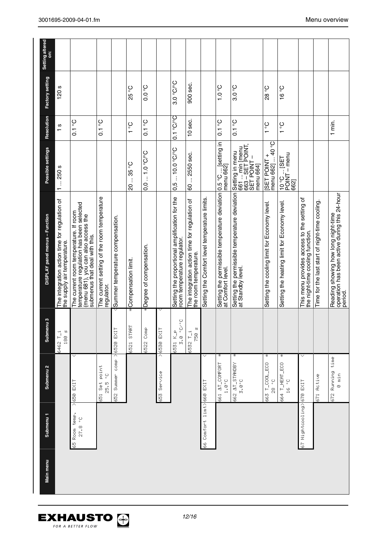| The integration action time for regulation of<br>DISPLAY panel menus - Function<br>the supply air temperature.<br>w<br>Submenu<br>180<br>6462 T_i         |
|-----------------------------------------------------------------------------------------------------------------------------------------------------------|
| temperature regulation has been selected<br>The current room temperature. If room<br>(menu 681), you can also access the<br>submenus that deal with this. |
| The current setting of the room temperature<br>regulator.                                                                                                 |
| Summer temperature compensation.<br>comp >6520 EXIT                                                                                                       |
| Compensation limit<br>¥<br>START<br>6521                                                                                                                  |
| Degree of compensation.<br>5522 Comp                                                                                                                      |
| 6530 EXIT                                                                                                                                                 |
| Setting the proportional amplification for the<br>room temperature regulator.<br>့<br>$3.0 \degree C$<br>6531 K_P                                         |
| The integration action time for regulation of<br>the room temperature.<br>И<br>6532 T_i<br>8g7                                                            |
| Setting the Comfort level temperature limits.                                                                                                             |
| Setting the permissible temperature deviation  0.5 °C<br>at Comfort level.                                                                                |
| Setting the permissible temperature deviation<br>at Standby level.                                                                                        |
| Setting the cooling limit for Economy level                                                                                                               |
| Setting the heating limit for Economy level                                                                                                               |
| This menu provides access to the setting of<br>the night-time cooling function.                                                                           |
| Time for the last start of night-time cooling.                                                                                                            |
| operation has been active during this 24-hour<br>Reading showing how long night-time<br>period.                                                           |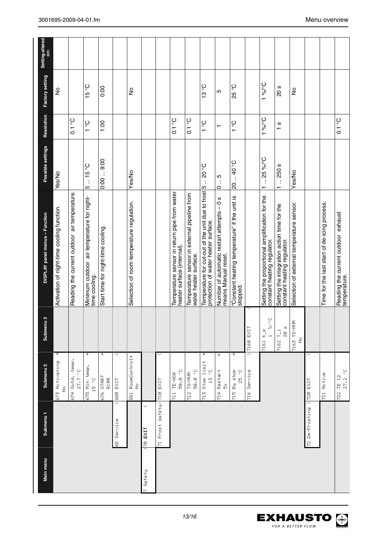| Main menu | Submenu <sub>1</sub>               | Submenu <sub>2</sub>                               | Submenu <sub>3</sub>                         | DISPLAY panel menus - Function                                                                   | Possible settings  | Resolution            | Factory setting | Setting altered<br>Ë |
|-----------|------------------------------------|----------------------------------------------------|----------------------------------------------|--------------------------------------------------------------------------------------------------|--------------------|-----------------------|-----------------|----------------------|
|           |                                    | ∗<br>673 Activating<br>$\frac{9}{2}$               |                                              | Activation of night-time cooling function.                                                       | Yes/No             |                       | ş               |                      |
|           |                                    | 674 Outd. temp.<br>27.7 °C                         |                                              | Reading the current outdoor air temperature.                                                     |                    | $0.1\degree$          |                 |                      |
|           |                                    | ÷<br>675 Min temp.<br>$15 - 0$                     |                                              | Minimum outdoor air temperature for night-<br>time cooling.                                      | $5 - 15$ °C        | $1^{\circ}$ C         | $15\degree C$   |                      |
|           |                                    | ÷<br>676 STRRT<br>$\Theta$ : 00                    |                                              | Start time for night-time cooling.                                                               | 0.009.00           | 1:00                  | 0:00            |                      |
|           | λ<br>68 Service                    | 680 EXIT                                           |                                              |                                                                                                  |                    |                       |                 |                      |
|           |                                    | 681 RoomControl*<br>$\frac{9}{2}$                  |                                              | Selection of room temperature regulation.                                                        | Yes/No             |                       | ş               |                      |
| Safety    | $\checkmark$<br>$\frac{1}{2}$ EXIT |                                                    |                                              |                                                                                                  |                    |                       |                 |                      |
|           | 71 Frost safetal710 EXIT           |                                                    |                                              |                                                                                                  |                    |                       |                 |                      |
|           |                                    | 50.0 °C<br>TE-HOW<br>$\frac{1}{2}$                 |                                              | Temperature sensor in return pipe from water<br>heater surface (internal).                       |                    | $0.1\degree C$        |                 |                      |
|           |                                    | 50.0 °C<br>712 TS-MUM                              |                                              | Temperature sensor in external pipeline from<br>water heater surface.                            |                    | $O0$ 1.0              |                 |                      |
|           |                                    | Ť<br>Stop limit<br>Ş<br>$\frac{10}{14}$<br>ri<br>N |                                              | Temperature for cut-out of the unit due to frost 5  20 °C<br>protection of water heater surface. |                    | $1^{\circ}$ C         | 13°C            |                      |
|           |                                    | ÷<br>714 Restart<br>ŏ                              |                                              | Number of automatic restart attempts - 0 x<br>means Manual reset.                                | ن.<br>أ<br>$\circ$ | $\mathbf$             | 5               |                      |
|           |                                    | ÷<br>715 By stop<br>$25 - 5$                       |                                              | "Constant heating temperature" if the unit is<br>stopped.                                        | 2040°C             | ပ္စ<br>$\overline{ }$ | 25 °C           |                      |
|           |                                    | 716 Service                                        | $>$ 7160 EXIT                                |                                                                                                  |                    |                       |                 |                      |
|           |                                    |                                                    | ့<br>$\mathcal{S}_{\mathcal{A}}$<br>7161 K_p | Setting the proportional amplification for the<br>constant heating regulator.                    | $125\%C$           | 3°/°6                 | 3°/°6           |                      |
|           |                                    |                                                    | ි<br>ල<br>7162 T_i                           | Setting the integration action time for the<br>constant heating regulator.                       | 1250s              | $\frac{8}{1}$         | 20 s            |                      |
|           |                                    |                                                    | 7163 TS-MUM<br>$\frac{Q}{Z}$                 | Selection of external temperature sensor.                                                        | Yes/No             |                       | $\frac{1}{2}$   |                      |
|           | 72 De-Frosting > 720 EXIT          |                                                    |                                              |                                                                                                  |                    |                       |                 |                      |
|           |                                    | 721 Rotive                                         |                                              | Time for the last start of de-icing process.                                                     |                    |                       |                 |                      |
|           |                                    | 27.2 °C<br>722 TE 12                               |                                              | Reading the current outdoor exhaust<br>temperature.                                              |                    | $0.1\degree C$        |                 |                      |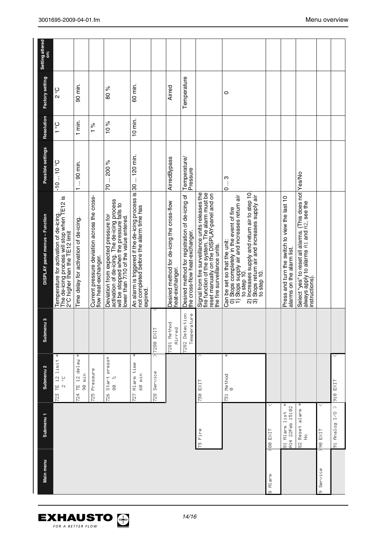| Main menu         | Submenu <sub>1</sub>                  | Submenu <sub>2</sub>                                                     | $\frac{3}{4}$<br>Submen       | DISPLAY panel menus - Function                                                                                                                                                                                                                                                       | Possible settings        | <b>Resolution</b> | Factory setting | Setting altered<br>ä |
|-------------------|---------------------------------------|--------------------------------------------------------------------------|-------------------------------|--------------------------------------------------------------------------------------------------------------------------------------------------------------------------------------------------------------------------------------------------------------------------------------|--------------------------|-------------------|-----------------|----------------------|
|                   |                                       | ÷<br>$1$ imi $\mathbf t$<br>TE 12<br>ပ္<br>$\mathbb{N}$<br>$\frac{8}{2}$ |                               | Temperature for activation of de-icing.<br>The de-icing process will stop when TE12 is<br>2°C higher than the TE12 limit                                                                                                                                                             | $-1010$ °C               | $1^{\circ}$ C     | $2^{\circ}$ C   |                      |
|                   |                                       | ÷<br>TE 12 delay<br>90 min<br>₹<br>R                                     |                               | Time delay for activation of de-icing.                                                                                                                                                                                                                                               | 1  90 min.               | 1 min.            | 90 min.         |                      |
|                   |                                       | 725 Pressure                                                             |                               | Current pressure deviation across the cross-<br>flow heat-exchanger.                                                                                                                                                                                                                 |                          | $\frac{5}{6}$     |                 |                      |
|                   |                                       | Start press*<br>N<br>8<br>ğ                                              |                               | Deviation from expected pressure for<br>activation of de-icing. The de-icing process<br>will be stopped when the pressure falls to<br>lower than 7/10 of the value entered.                                                                                                          | 70200%                   | 10%               | 80 %            |                      |
|                   |                                       | ∗<br>Alarm time<br>60 min<br>ğ                                           |                               | An alarm is triggered if the de-icing process is 30  120 min.<br>expired.                                                                                                                                                                                                            |                          | $10$ min.         | 60 min.         |                      |
|                   |                                       | ⊼<br>728 Service                                                         | 7280 EXIT                     |                                                                                                                                                                                                                                                                                      |                          |                   |                 |                      |
|                   |                                       |                                                                          | 7281 Method<br>Ainred         | Desired method for de-icing the cross-flow<br>heat-exchanger.                                                                                                                                                                                                                        | AirredBypass             |                   | Airred          |                      |
|                   |                                       |                                                                          | 7282 Detection<br>Temperature | Desired method for registration of de-icing of<br>the cross-flow heat-exchanger.                                                                                                                                                                                                     | Temperature/<br>Pressure |                   | Temperature     |                      |
|                   | 73 Fire                               | 730 EXIT                                                                 |                               | Signal from fire surveillance units releases the<br>fire function of the system. The alarm must be<br>reset manually on the DISPLAY-panel and on<br>the fire surveillance units.                                                                                                     |                          |                   |                 |                      |
|                   |                                       | ÷<br>$731$ Method                                                        |                               | 2) Increases supply and return air to step 10<br>3) Stops return air and increases supply air<br>0) Stops completely in the event of fire<br>1) Stops supply air and increases return air<br>Stops return air and increases supply air<br>Can be set so that the unit:<br>to step 10 | $0 - 3$                  |                   | 0               |                      |
| Alarm<br>$\infty$ | ASS EXIT                              |                                                                          |                               | to step 10.                                                                                                                                                                                                                                                                          |                          |                   |                 |                      |
|                   | ÷<br>A14 22Feb 15:02<br>81 Alarm list |                                                                          |                               | Press and turn the switch to view the last 10<br>alarms on the alarm list.                                                                                                                                                                                                           |                          |                   |                 |                      |
|                   | 82 Reset alarm *<br>$\frac{9}{2}$     |                                                                          |                               | Select "yes" to reset all alarms. (This does not Yes/No<br>always apply to alarms Fi1 and Fi2, see the<br>instructions).                                                                                                                                                             |                          |                   |                 |                      |
| Service<br>œ,     | $\checkmark$<br><b>SHO EXIT</b>       |                                                                          |                               |                                                                                                                                                                                                                                                                                      |                          |                   |                 |                      |
|                   | Ą<br>91 Rhalog I/O                    | 910 EXIT                                                                 |                               |                                                                                                                                                                                                                                                                                      |                          |                   |                 |                      |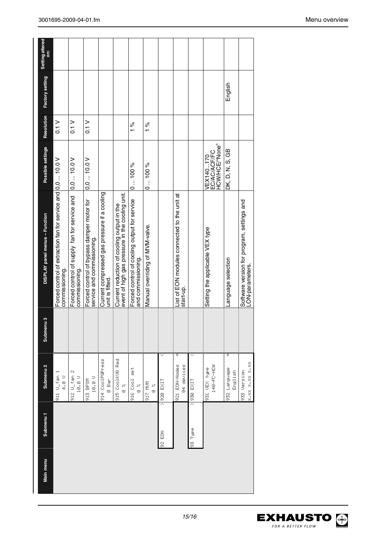| Setting altered<br>ä           |                                                                                |                                                                                                                                 |                                                                         |                                                                 |                                                                                               |                                                                    |                                 |               |                                                           |          |                                             |                              |                                                               |
|--------------------------------|--------------------------------------------------------------------------------|---------------------------------------------------------------------------------------------------------------------------------|-------------------------------------------------------------------------|-----------------------------------------------------------------|-----------------------------------------------------------------------------------------------|--------------------------------------------------------------------|---------------------------------|---------------|-----------------------------------------------------------|----------|---------------------------------------------|------------------------------|---------------------------------------------------------------|
| Factory setting                |                                                                                |                                                                                                                                 |                                                                         |                                                                 |                                                                                               |                                                                    |                                 |               |                                                           |          |                                             | English                      |                                                               |
| Resolution                     | 0.1 V                                                                          | $\frac{1}{10}$                                                                                                                  | 0.1 <sub>V</sub>                                                        |                                                                 |                                                                                               | $\frac{5}{6}$                                                      | 1%                              |               |                                                           |          |                                             |                              |                                                               |
| Possible settings              |                                                                                | 0.010.0                                                                                                                         | 0.010.0                                                                 |                                                                 |                                                                                               | 0100%                                                              | 0100%                           |               |                                                           |          | EC/AC/ACF/FC<br>HCW/HCE/"None"<br>VEX140170 | DK, D, N, S, GB              |                                                               |
| DISPLAY panel menus - Function | Forced control of extraction fan for service and 0,0  10.0 V<br>commissioning. | Forced control of supply fan for service and<br>commissioning.                                                                  | Forced control of bypass damper motor for<br>service and commissioning. | Current compressed gas pressure if a cooling<br>unit is fitted. | event of high gas pressure in the cooling unit.<br>Current reduction of cooling output in the | Forced control of cooling output for service<br>and commissioning. | Manual overriding of MVM-valve. |               | List of EON modules connected to the unit at<br>start-up. |          | Setting the applicable VEX type             | Language selection           | Software version for program, settings and<br>LON-parameters. |
| ø<br>Submenu                   |                                                                                |                                                                                                                                 |                                                                         |                                                                 |                                                                                               |                                                                    |                                 |               |                                                           |          |                                             |                              |                                                               |
| Submenu <sub>2</sub>           | 911 U_fan 1<br>$\begin{array}{c} 0 \\ 4.6 \end{array}$                         | 912 $U_f$ an 2<br>$\begin{array}{c} 1 \, \mathfrak{S} \cdot \mathfrak{S} \end{array} \begin{array}{c} \cup \\ \cup \end{array}$ | $10.0 \cup$<br>913 BPSM                                                 | 914 CoolPGPress<br>e Bar                                        | 915 CoolKUQ Red<br>×<br>©                                                                     | te<br>Se<br>916 Cool<br>×<br>©                                     | MNN LIG<br>×<br>©               | $>$  920 EXIT | ¥<br>921 EDN-Nodes<br>04 devices                          | LIX3 026 | 140-FC-HCM<br>931 UEX type                  | ¥<br>932 Language<br>English | x" xx x" x" xx x" xx<br>933 Version                           |
| Submenu <sub>1</sub>           |                                                                                |                                                                                                                                 |                                                                         |                                                                 |                                                                                               |                                                                    |                                 | 活い            |                                                           | 93 Type  |                                             |                              |                                                               |
| Main menu                      |                                                                                |                                                                                                                                 |                                                                         |                                                                 |                                                                                               |                                                                    |                                 |               |                                                           |          |                                             |                              |                                                               |